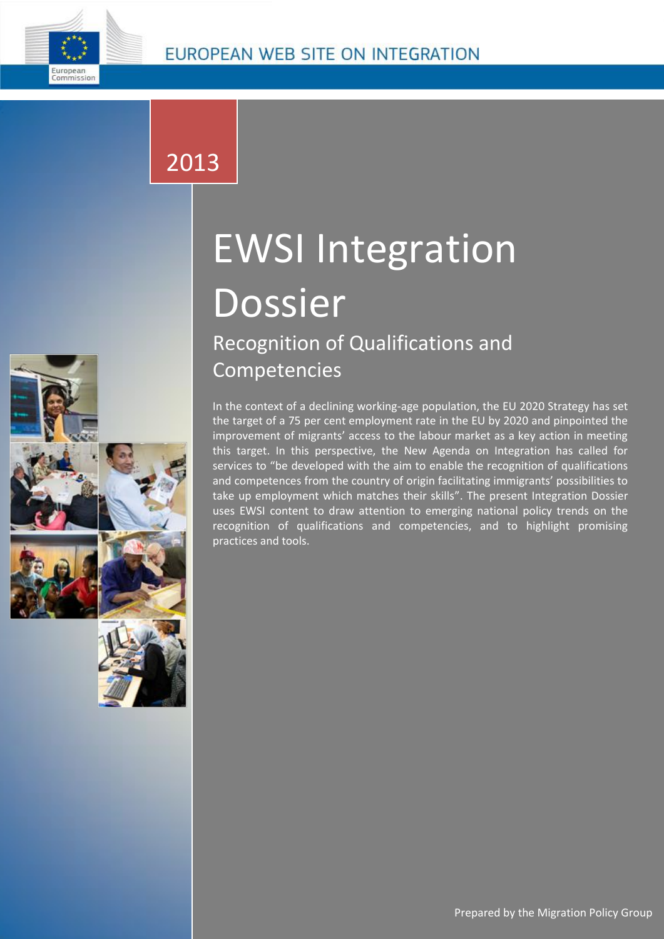

## 2013

# EWSI Integration Dossier Recognition of Qualifications and Competencies

In the context of a declining working-age population, the EU 2020 Strategy has set the target of a 75 per cent employment rate in the EU by 2020 and pinpointed the improvement of migrants' access to the labour market as a key action in meeting this target. In this perspective, the New Agenda on Integration has called for services to "be developed with the aim to enable the recognition of qualifications and competences from the country of origin facilitating immigrants' possibilities to take up employment which matches their skills". The present Integration Dossier uses EWSI content to draw attention to emerging national policy trends on the recognition of qualifications and competencies, and to highlight promising practices and tools.

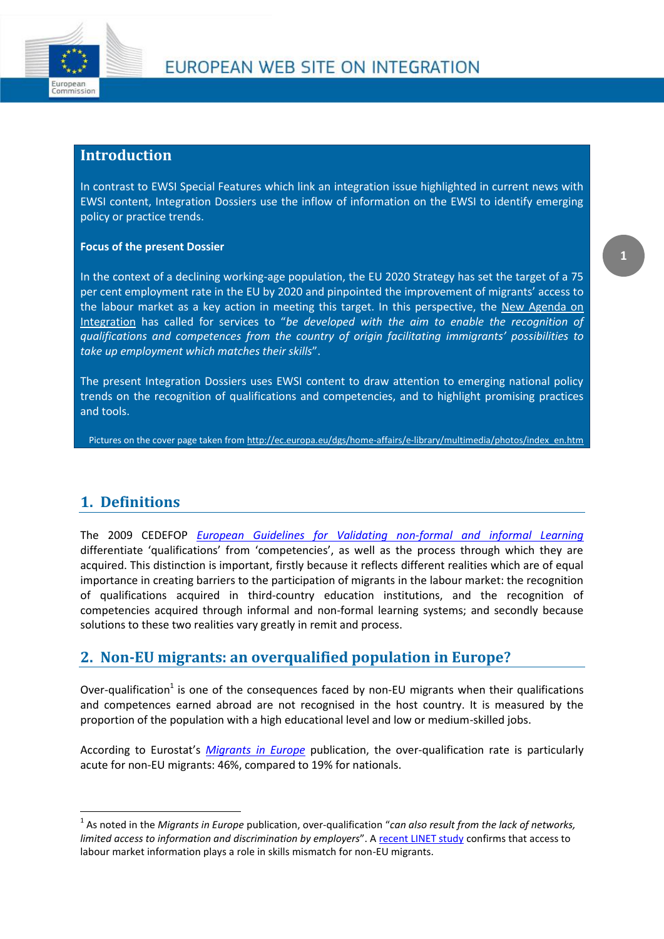

#### **Introduction**

In contrast to EWSI Special Features which link an integration issue highlighted in current news with EWSI content, Integration Dossiers use the inflow of information on the EWSI to identify emerging policy or practice trends.

#### **Focus of the present Dossier**

In the context of a declining working-age population, the EU 2020 Strategy has set the target of a 75 per cent employment rate in the EU by 2020 and pinpointed the improvement of migrants' access to the labour market as a key action in meeting this target. In this perspective, the New Agenda on [Integration](http://ec.europa.eu/ewsi/en/news/newsdetail.cfm?ID_ITEMS=22035) has called for services to "*be developed with the aim to enable the recognition of qualifications and competences from the country of origin facilitating immigrants' possibilities to take up employment which matches their skills*".

The present Integration Dossiers uses EWSI content to draw attention to emerging national policy trends on the recognition of qualifications and competencies, and to highlight promising practices and tools.

Pictures on the cover page taken fro[m http://ec.europa.eu/dgs/home-affairs/e-library/multimedia/photos/index\\_en.htm](http://ec.europa.eu/dgs/home-affairs/e-library/multimedia/photos/index_en.htm)

## **1. Definitions**

**.** 

The 2009 CEDEFOP *[European Guidelines for Validating non-formal and informal Learning](http://www.cedefop.europa.eu/download-manager.aspx?id=5060&lang=en&type=publication)* differentiate 'qualifications' from 'competencies', as well as the process through which they are acquired. This distinction is important, firstly because it reflects different realities which are of equal importance in creating barriers to the participation of migrants in the labour market: the recognition of qualifications acquired in third-country education institutions, and the recognition of competencies acquired through informal and non-formal learning systems; and secondly because solutions to these two realities vary greatly in remit and process.

## **2. Non-EU migrants: an overqualified population in Europe?**

Over-qualification<sup>1</sup> is one of the consequences faced by non-EU migrants when their qualifications and competences earned abroad are not recognised in the host country. It is measured by the proportion of the population with a high educational level and low or medium-skilled jobs.

According to Eurostat's *[Migrants in Europe](http://ec.europa.eu/ewsi/en/resources/detail.cfm?ID_ITEMS=26555)* publication, the over-qualification rate is particularly acute for non-EU migrants: 46%, compared to 19% for nationals.

**1**

<sup>1</sup> As noted in the *Migrants in Europe* publication, over-qualification "*can also result from the lack of networks, limited access to information and discrimination by employers*". A [recent LINET study](http://ec.europa.eu/ewsi/en/resources/detail.cfm?ID_ITEMS=33923) confirms that access to labour market information plays a role in skills mismatch for non-EU migrants.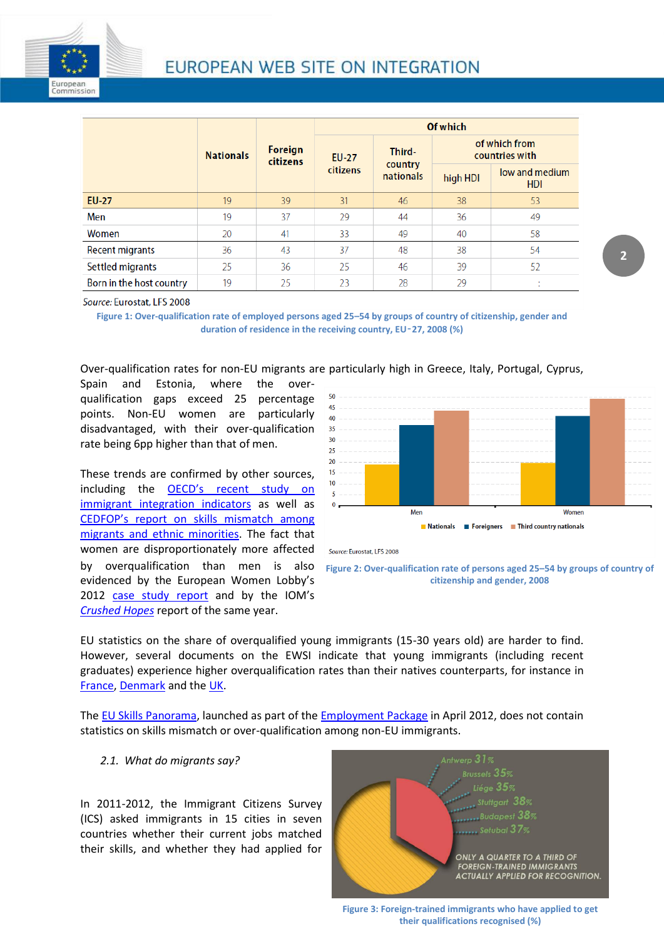

|                          | <b>Nationals</b> | Foreign<br>citizens | Of which                 |                                |                                 |                              |
|--------------------------|------------------|---------------------|--------------------------|--------------------------------|---------------------------------|------------------------------|
|                          |                  |                     | <b>EU-27</b><br>citizens | Third-<br>country<br>nationals | of which from<br>countries with |                              |
|                          |                  |                     |                          |                                | high HDI                        | low and medium<br><b>HDI</b> |
| <b>EU-27</b>             | 19               | 39                  | 31                       | 46                             | 38                              | 53                           |
| Men                      | 19               | 37                  | 29                       | 44                             | 36                              | 49                           |
| Women                    | 20               | 41                  | 33                       | 49                             | 40                              | 58                           |
| <b>Recent migrants</b>   | 36               | 43                  | 37                       | 48                             | 38                              | 54                           |
| Settled migrants         | 25               | 36                  | 25                       | 46                             | 39                              | 52                           |
| Born in the host country | 19               | 25                  | 23                       | 28                             | 29                              | $\mathbf{r}$                 |

Source: Eurostat, LFS 2008

**Figure 1: Over-qualification rate of employed persons aged 25–54 by groups of country of citizenship, gender and duration of residence in the receiving country, EU**‑**27, 2008 (%)**

Over-qualification rates for non-EU migrants are particularly high in Greece, Italy, Portugal, Cyprus,

Spain and Estonia, where the overqualification gaps exceed 25 percentage points. Non-EU women are particularly disadvantaged, with their over-qualification rate being 6pp higher than that of men.

These trends are confirmed by other sources, including the [OECD's recent study on](http://ec.europa.eu/ewsi/en/news/newsdetail.cfm?ID_ITEMS=31813)  [immigrant integration](http://ec.europa.eu/ewsi/en/news/newsdetail.cfm?ID_ITEMS=31813) indicators as well as [CEDFOP's report on skills mismatch among](http://ec.europa.eu/ewsi/en/resources/detail.cfm?ID_ITEMS=22631)  [migrants and ethnic minorities.](http://ec.europa.eu/ewsi/en/resources/detail.cfm?ID_ITEMS=22631) The fact that women are disproportionately more affected by overqualification than men is also evidenced by the European Women Lobby's 2012 [case study report](http://ec.europa.eu/ewsi/en/resources/detail.cfm?ID_ITEMS=32110) and by the IOM's *[Crushed Hopes](http://publications.iom.int/bookstore/free/Crushed_Hopes_3Jan2013.pdf)* report of the same year.







EU statistics on the share of overqualified young immigrants (15-30 years old) are harder to find. However, several documents on the EWSI indicate that young immigrants (including recent graduates) experience higher overqualification rates than their natives counterparts, for instance in [France,](http://citation.allacademic.com/meta/p_mla_apa_research_citation/5/6/7/3/7/p567370_index.html) [Denmark](http://www.akf.dk/udgivelser_en/2012/5201_overuddannelse_etniske_minoriteter/) and th[e UK.](http://www.ccsr.ac.uk/research/Ethnic/documents/2008-05.pdf)

The [EU Skills Panorama,](http://euskillspanorama.ec.europa.eu/) launched as part of th[e Employment Package](http://ec.europa.eu/social/main.jsp?catId=1039&langId=en) in April 2012, does not contain statistics on skills mismatch or over-qualification among non-EU immigrants.

#### *2.1. What do migrants say?*

In 2011-2012, the Immigrant Citizens Survey (ICS) asked immigrants in 15 cities in seven countries whether their current jobs matched their skills, and whether they had applied for



**Figure 3: Foreign-trained immigrants who have applied to get their qualifications recognised (%)**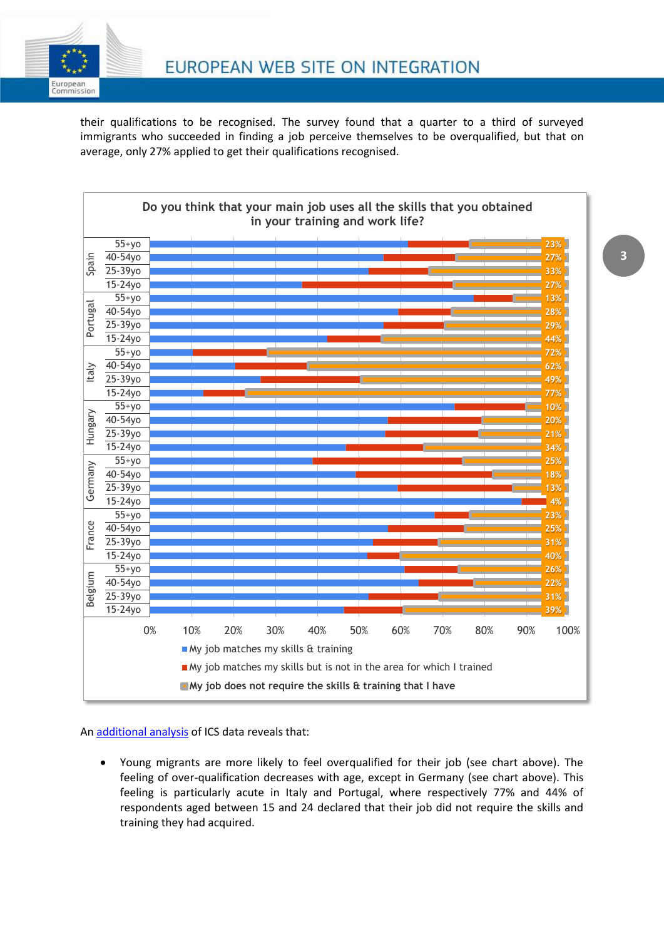

their qualifications to be recognised. The survey found that a quarter to a third of surveyed immigrants who succeeded in finding a job perceive themselves to be overqualified, but that on average, only 27% applied to get their qualifications recognised.



#### A[n additional analysis](http://ec.europa.eu/ewsi/en/resources/detail.cfm?ID_ITEMS=34487) of ICS data reveals that:

 Young migrants are more likely to feel overqualified for their job (see chart above). The feeling of over-qualification decreases with age, except in Germany (see chart above). This feeling is particularly acute in Italy and Portugal, where respectively 77% and 44% of respondents aged between 15 and 24 declared that their job did not require the skills and training they had acquired.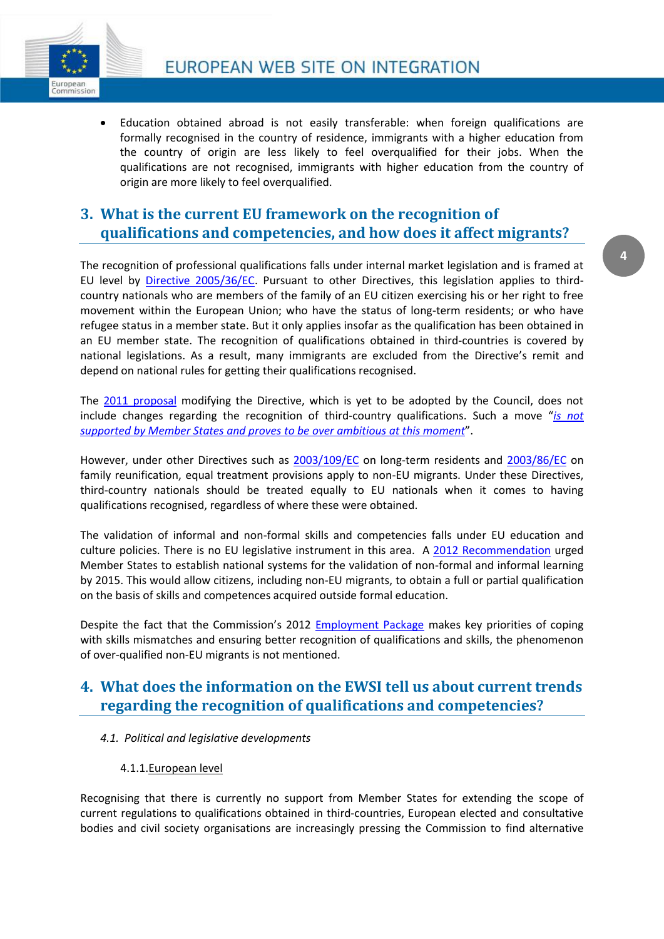

 Education obtained abroad is not easily transferable: when foreign qualifications are formally recognised in the country of residence, immigrants with a higher education from the country of origin are less likely to feel overqualified for their jobs. When the qualifications are not recognised, immigrants with higher education from the country of origin are more likely to feel overqualified.

## **3. What is the current EU framework on the recognition of qualifications and competencies, and how does it affect migrants?**

The recognition of professional qualifications falls under internal market legislation and is framed at EU level by [Directive 2005/36/EC.](http://eur-lex.europa.eu/LexUriServ/LexUriServ.do?uri=CONSLEG:2005L0036:20110324:EN:PDF) Pursuant to other Directives, this legislation applies to thirdcountry nationals who are members of the family of an EU citizen exercising his or her right to free movement within the European Union; who have the status of long-term residents; or who have refugee status in a member state. But it only applies insofar as the qualification has been obtained in an EU member state. The recognition of qualifications obtained in third-countries is covered by national legislations. As a result, many immigrants are excluded from the Directive's remit and depend on national rules for getting their qualifications recognised.

The [2011 proposal](http://ec.europa.eu/internal_market/qualifications/docs/policy_developments/modernising/COM2011_883_en.pdf) modifying the Directive, which is yet to be adopted by the Council, does not include changes regarding the recognition of third-country qualifications. Such a move "*[is not](http://ec.europa.eu/internal_market/qualifications/docs/policy_developments/modernising/resume_impact_assesment_SEC1559_en.pdf)  [supported by Member States and proves](http://ec.europa.eu/internal_market/qualifications/docs/policy_developments/modernising/resume_impact_assesment_SEC1559_en.pdf) to be over ambitious at this moment*".

However, under other Directives such as [2003/109/EC](http://eur-lex.europa.eu/LexUriServ/LexUriServ.do?uri=OJ:L:2004:016:0044:0053:EN:PDF) on long-term residents and [2003/86/EC](http://eur-lex.europa.eu/LexUriServ/LexUriServ.do?uri=OJ:L:2003:251:0012:0018:EN:PDF) on family reunification, equal treatment provisions apply to non-EU migrants. Under these Directives, third-country nationals should be treated equally to EU nationals when it comes to having qualifications recognised, regardless of where these were obtained.

The validation of informal and non-formal skills and competencies falls under EU education and culture policies. There is no EU legislative instrument in this area. A [2012 Recommendation](http://eur-lex.europa.eu/LexUriServ/LexUriServ.do?uri=CELEX:32012H1222%2801%29:EN:NOT) urged Member States to establish national systems for the validation of non-formal and informal learning by 2015. This would allow citizens, including non-EU migrants, to obtain a full or partial qualification on the basis of skills and competences acquired outside formal education.

Despite the fact that the Commission's 2012 [Employment Package](http://ec.europa.eu/social/main.jsp?catId=1039&langId=en) makes key priorities of coping with skills mismatches and ensuring better recognition of qualifications and skills, the phenomenon of over-qualified non-EU migrants is not mentioned.

## **4. What does the information on the EWSI tell us about current trends regarding the recognition of qualifications and competencies?**

*4.1. Political and legislative developments*

#### 4.1.1.European level

Recognising that there is currently no support from Member States for extending the scope of current regulations to qualifications obtained in third-countries, European elected and consultative bodies and civil society organisations are increasingly pressing the Commission to find alternative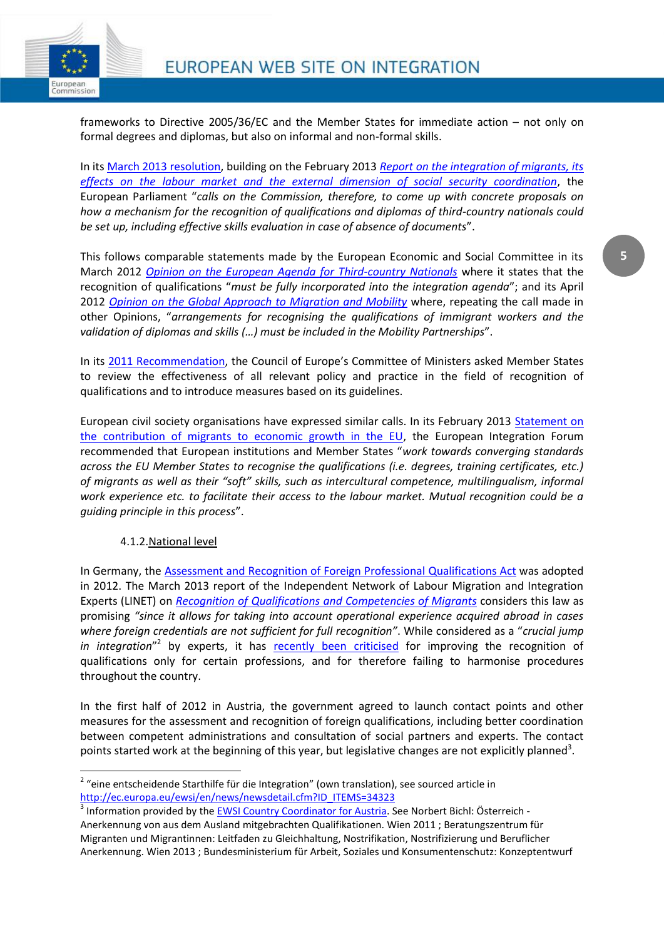

frameworks to Directive 2005/36/EC and the Member States for immediate action – not only on formal degrees and diplomas, but also on informal and non-formal skills.

In its [March 2013 resolution,](http://www.europarl.europa.eu/sides/getDoc.do?type=TA&language=EN&reference=P7-TA-2013-92) building on the February 2013 *[Report on the integration of migrants, its](http://www.europarl.europa.eu/sides/getDoc.do?pubRef=-//EP//NONSGML+REPORT+A7-2013-0040+0+DOC+PDF+V0//EN)  [effects on the labour market and the external dimension of social security coordination](http://www.europarl.europa.eu/sides/getDoc.do?pubRef=-//EP//NONSGML+REPORT+A7-2013-0040+0+DOC+PDF+V0//EN)*, the European Parliament "*calls on the Commission, therefore, to come up with concrete proposals on how a mechanism for the recognition of qualifications and diplomas of third-country nationals could be set up, including effective skills evaluation in case of absence of documents*".

This follows comparable statements made by the European Economic and Social Committee in its March 2012 *Opinion on the [European Agenda for Third-country Nationals](http://eescopinions.eesc.europa.eu/EESCopinionDocument.aspx?identifier=ces/soc/soc427/ces821-2012_ac.doc&language=EN)* where it states that the recognition of qualifications "*must be fully incorporated into the integration agenda*"; and its April 2012 *[Opinion on the Global Approach to Migration and Mobility](http://eescopinions.eesc.europa.eu/EESCopinionDocument.aspx?identifier=ces/rex/rex351/ces1057-2012_ac.doc&language=EN)* where, repeating the call made in other Opinions, "*arrangements for recognising the qualifications of immigrant workers and the validation of diplomas and skills (…) must be included in the Mobility Partnerships*".

In its [2011 Recommendation](https://wcd.coe.int/ViewDoc.jsp?id=1734833&Site=CM), the Council of Europe's Committee of Ministers asked Member States to review the effectiveness of all relevant policy and practice in the field of recognition of qualifications and to introduce measures based on its guidelines.

European civil society organisations have expressed similar calls. In its February 2013 [Statement on](http://ec.europa.eu/ewsi/UDRW/images/items/docl_33613_795794943.pdf)  [the contribution of migrants to economic growth in the EU,](http://ec.europa.eu/ewsi/UDRW/images/items/docl_33613_795794943.pdf) the European Integration Forum recommended that European institutions and Member States "*work towards converging standards across the EU Member States to recognise the qualifications (i.e. degrees, training certificates, etc.) of migrants as well as their "soft" skills, such as intercultural competence, multilingualism, informal work experience etc. to facilitate their access to the labour market. Mutual recognition could be a guiding principle in this process*".

#### 4.1.2.National level

In Germany, the [Assessment and Recognition of Foreign Professional Qualifications Act](http://ec.europa.eu/ewsi/en/resources/detail.cfm?ID_ITEMS=26779) was adopted in 2012. The March 2013 report of the Independent Network of Labour Migration and Integration Experts (LINET) on *[Recognition of Qualifications and Competencies of Migrants](http://ec.europa.eu/ewsi/en/resources/detail.cfm?ID_ITEMS=33922)* considers this law as promising *"since it allows for taking into account operational experience acquired abroad in cases*  where foreign credentials are not sufficient for full recognition". While considered as a "crucial jump in integration<sup>"2</sup> by experts, it has **[recently been criticised](http://ec.europa.eu/ewsi/en/news/newsdetail.cfm?ID_ITEMS=34323)** for improving the recognition of qualifications only for certain professions, and for therefore failing to harmonise procedures throughout the country.

In the first half of 2012 in Austria, the government agreed to launch contact points and other measures for the assessment and recognition of foreign qualifications, including better coordination between competent administrations and consultation of social partners and experts. The contact points started work at the beginning of this year, but legislative changes are not explicitly planned<sup>3</sup>.

 2 "eine entscheidende Starthilfe für die Integration" (own translation), see sourced article in [http://ec.europa.eu/ewsi/en/news/newsdetail.cfm?ID\\_ITEMS=34323](http://ec.europa.eu/ewsi/en/news/newsdetail.cfm?ID_ITEMS=34323)

<sup>&</sup>lt;sup>3</sup> Information provided by the [EWSI Country Coordinator for Austria.](http://ec.europa.eu/ewsi/en/mang_part.cfm) See Norbert Bichl: Österreich -Anerkennung von aus dem Ausland mitgebrachten Qualifikationen. Wien 2011 ; Beratungszentrum für Migranten und Migrantinnen: Leitfaden zu Gleichhaltung, Nostrifikation, Nostrifizierung und Beruflicher Anerkennung. Wien 2013 ; Bundesministerium für Arbeit, Soziales und Konsumentenschutz: Konzeptentwurf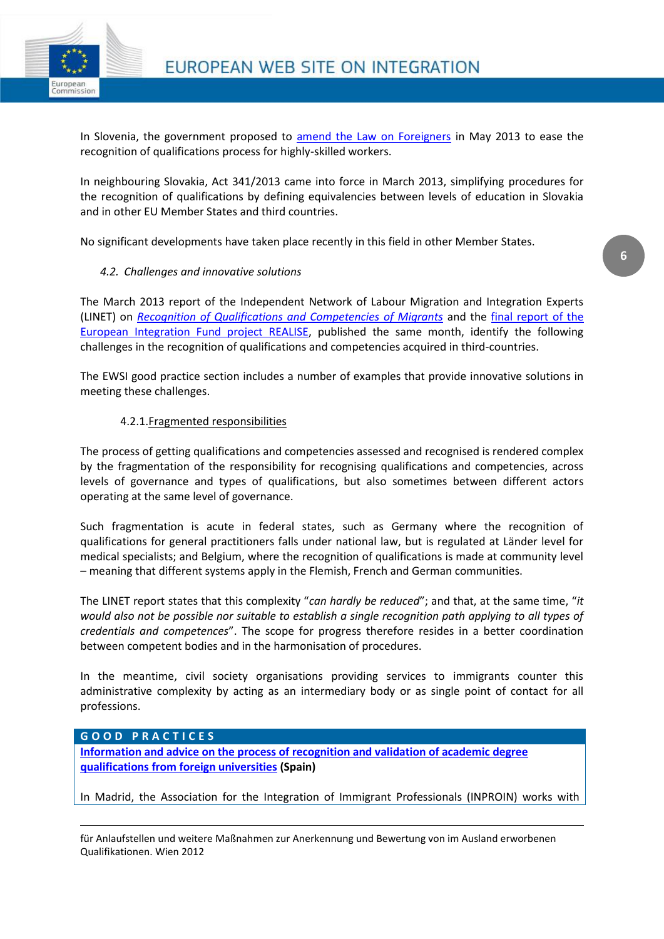

In Slovenia, the government proposed to [amend the Law on Foreigners](http://ec.europa.eu/ewsi/en/news/newsdetail.cfm?ID_ITEMS=35112) in May 2013 to ease the recognition of qualifications process for highly-skilled workers.

In neighbouring Slovakia, Act 341/2013 came into force in March 2013, simplifying procedures for the recognition of qualifications by defining equivalencies between levels of education in Slovakia and in other EU Member States and third countries.

No significant developments have taken place recently in this field in other Member States.

#### *4.2. Challenges and innovative solutions*

The March 2013 report of the Independent Network of Labour Migration and Integration Experts (LINET) on *[Recognition of Qualifications and Competencies of Migrants](http://ec.europa.eu/ewsi/en/resources/detail.cfm?ID_ITEMS=33922)* and the [final report of the](http://ec.europa.eu/ewsi/en/resources/detail.cfm?ID_ITEMS=34392)  [European Integration Fund project REALISE,](http://ec.europa.eu/ewsi/en/resources/detail.cfm?ID_ITEMS=34392) published the same month, identify the following challenges in the recognition of qualifications and competencies acquired in third-countries.

The EWSI good practice section includes a number of examples that provide innovative solutions in meeting these challenges.

#### 4.2.1.Fragmented responsibilities

The process of getting qualifications and competencies assessed and recognised is rendered complex by the fragmentation of the responsibility for recognising qualifications and competencies, across levels of governance and types of qualifications, but also sometimes between different actors operating at the same level of governance.

Such fragmentation is acute in federal states, such as Germany where the recognition of qualifications for general practitioners falls under national law, but is regulated at Länder level for medical specialists; and Belgium, where the recognition of qualifications is made at community level – meaning that different systems apply in the Flemish, French and German communities.

The LINET report states that this complexity "*can hardly be reduced*"; and that, at the same time, "*it would also not be possible nor suitable to establish a single recognition path applying to all types of credentials and competences*". The scope for progress therefore resides in a better coordination between competent bodies and in the harmonisation of procedures.

In the meantime, civil society organisations providing services to immigrants counter this administrative complexity by acting as an intermediary body or as single point of contact for all professions.

#### **G O O D P R A C T I C E S**

**.** 

**[Information and advice on the process of recognition and validation of academic degree](http://ec.europa.eu/ewsi/en/practice/details.cfm?ID_ITEMS=22267)  [qualifications from foreign universities](http://ec.europa.eu/ewsi/en/practice/details.cfm?ID_ITEMS=22267) (Spain)**

In Madrid, the Association for the Integration of Immigrant Professionals (INPROIN) works with

für Anlaufstellen und weitere Maßnahmen zur Anerkennung und Bewertung von im Ausland erworbenen Qualifikationen. Wien 2012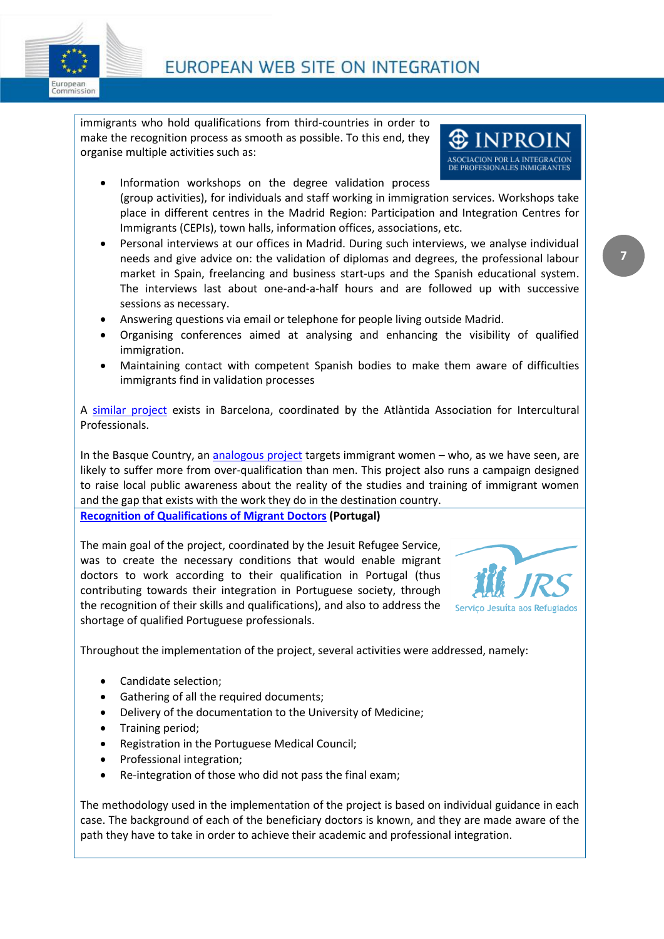

immigrants who hold qualifications from third-countries in order to make the recognition process as smooth as possible. To this end, they organise multiple activities such as:

- Information workshops on the degree validation process (group activities), for individuals and staff working in immigration services. Workshops take place in different centres in the Madrid Region: Participation and Integration Centres for Immigrants (CEPIs), town halls, information offices, associations, etc.
- Personal interviews at our offices in Madrid. During such interviews, we analyse individual needs and give advice on: the validation of diplomas and degrees, the professional labour market in Spain, freelancing and business start-ups and the Spanish educational system. The interviews last about one-and-a-half hours and are followed up with successive sessions as necessary.
- Answering questions via email or telephone for people living outside Madrid.
- Organising conferences aimed at analysing and enhancing the visibility of qualified immigration.
- Maintaining contact with competent Spanish bodies to make them aware of difficulties immigrants find in validation processes

A [similar project](http://ec.europa.eu/ewsi/en/practice/details.cfm?ID_ITEMS=11059) exists in Barcelona, coordinated by the Atlàntida Association for Intercultural Professionals.

In the Basque Country, an [analogous project](http://ec.europa.eu/ewsi/en/practice/details.cfm?ID_ITEMS=22664) targets immigrant women – who, as we have seen, are likely to suffer more from over-qualification than men. This project also runs a campaign designed to raise local public awareness about the reality of the studies and training of immigrant women and the gap that exists with the work they do in the destination country.

**Recognition of [Qualifications of Migrant Doctors](http://ec.europa.eu/ewsi/en/practice/details.cfm?ID_ITEMS=8550) (Portugal)**

The main goal of the project, coordinated by the Jesuit Refugee Service, was to create the necessary conditions that would enable migrant doctors to work according to their qualification in Portugal (thus contributing towards their integration in Portuguese society, through the recognition of their skills and qualifications), and also to address the shortage of qualified Portuguese professionals.



**INPROIN** ASOCIACION POR LA INTEGRACION DE PROFESIONALES INMIGRANTI

Throughout the implementation of the project, several activities were addressed, namely:

- Candidate selection;
- Gathering of all the required documents;
- Delivery of the documentation to the University of Medicine;
- Training period;
- Registration in the Portuguese Medical Council;
- Professional integration;
- Re-integration of those who did not pass the final exam;

The methodology used in the implementation of the project is based on individual guidance in each case. The background of each of the beneficiary doctors is known, and they are made aware of the path they have to take in order to achieve their academic and professional integration.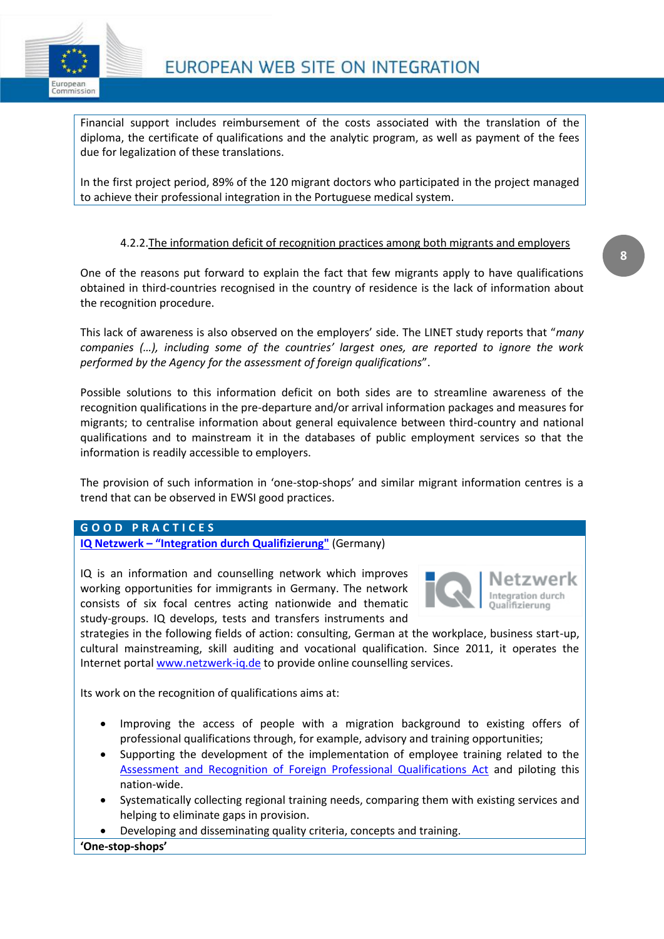

Financial support includes reimbursement of the costs associated with the translation of the diploma, the certificate of qualifications and the analytic program, as well as payment of the fees due for legalization of these translations.

In the first project period, 89% of the 120 migrant doctors who participated in the project managed to achieve their professional integration in the Portuguese medical system.

#### 4.2.2.The information deficit of recognition practices among both migrants and employers

One of the reasons put forward to explain the fact that few migrants apply to have qualifications obtained in third-countries recognised in the country of residence is the lack of information about the recognition procedure.

This lack of awareness is also observed on the employers' side. The LINET study reports that "*many companies (…), including some of the countries' largest ones, are reported to ignore the work performed by the Agency for the assessment of foreign qualifications*".

Possible solutions to this information deficit on both sides are to streamline awareness of the recognition qualifications in the pre-departure and/or arrival information packages and measures for migrants; to centralise information about general equivalence between third-country and national qualifications and to mainstream it in the databases of public employment services so that the information is readily accessible to employers.

The provision of such information in 'one-stop-shops' and similar migrant information centres is a trend that can be observed in EWSI good practices.

#### **G O O D P R A C T I C E S**

**IQ Netzwerk – ["Integration durch Qu](http://ec.europa.eu/ewsi/en/practice/details.cfm?ID_ITEMS=7720)alifizierung"** (Germany)

IQ is an information and counselling network which improves working opportunities for immigrants in Germany. The network consists of six focal centres acting nationwide and thematic study-groups. IQ develops, tests and transfers instruments and



strategies in the following fields of action: consulting, German at the workplace, business start-up, cultural mainstreaming, skill auditing and vocational qualification. Since 2011, it operates the Internet porta[l www.netzwerk-iq.de](http://www.netzwerk-iq.de/netzwerk-iq_start.html) to provide online counselling services.

Its work on the recognition of qualifications aims at:

- Improving the access of people with a migration background to existing offers of professional qualifications through, for example, advisory and training opportunities;
- Supporting the development of the implementation of employee training related to the [Assessment and Recognition of Foreign Professional Qualifications Act](http://ec.europa.eu/ewsi/en/resources/detail.cfm?ID_ITEMS=26779) and piloting this nation-wide.
- Systematically collecting regional training needs, comparing them with existing services and helping to eliminate gaps in provision.
- Developing and disseminating quality criteria, concepts and training.

**'One-stop-shops'**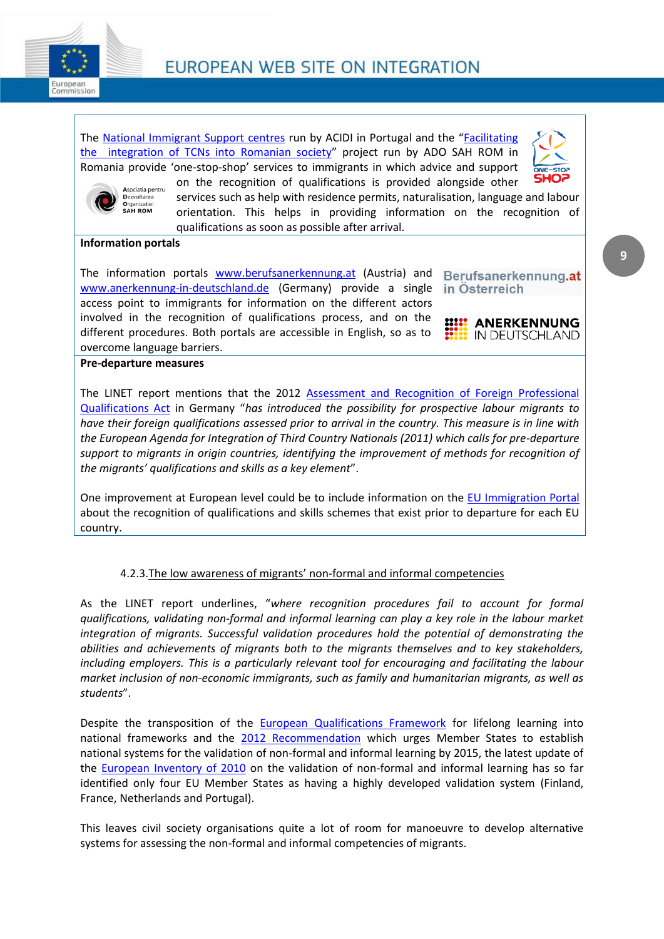

The [National Immigrant Support centres](http://ec.europa.eu/ewsi/en/practice/details.cfm?ID_ITEMS=26423) run by ACIDI in Portugal and the "[Facilitating](http://ec.europa.eu/ewsi/en/practice/details.cfm?ID_ITEMS=33195)  [the integration of TCNs into Romanian society](http://ec.europa.eu/ewsi/en/practice/details.cfm?ID_ITEMS=33195)" project run by ADO SAH ROM in Romania provide 'one-stop-shop' services to immigrants in which advice and support





on the recognition of qualifications is provided alongside other services such as help with residence permits, naturalisation, language and labour orientation. This helps in providing information on the recognition of qualifications as soon as possible after arrival.

#### **Information portals**

The information portals [www.berufsanerkennung.at](http://www.berufsanerkennung.at/) (Austria) and [www.anerkennung-in-deutschland.de](http://www.anerkennung-in-deutschland.de/) (Germany) provide a single access point to immigrants for information on the different actors involved in the recognition of qualifications process, and on the different procedures. Both portals are accessible in English, so as to overcome language barriers.

Berufsanerkennung.at in Osterreich



#### **Pre-departure measures**

The LINET report mentions that the 2012 [Assessment and Recognition of Foreign Professional](http://ec.europa.eu/ewsi/en/resources/detail.cfm?ID_ITEMS=26779)  [Qualifications Act](http://ec.europa.eu/ewsi/en/resources/detail.cfm?ID_ITEMS=26779) in Germany "*has introduced the possibility for prospective labour migrants to have their foreign qualifications assessed prior to arrival in the country. This measure is in line with the European Agenda for Integration of Third Country Nationals (2011) which calls for pre-departure support to migrants in origin countries, identifying the improvement of methods for recognition of the migrants' qualifications and skills as a key element*".

One improvement at European level could be to include information on the [EU Immigration Portal](http://ec.europa.eu/immigration/tabHome.do;jsessionid=L2Q8RMnGjhyf3ypPjsDjp6lJz3rQNGCCwLcy4zpljv0mj76rMGVf!-180448354!1368174182828) about the recognition of qualifications and skills schemes that exist prior to departure for each EU country.

#### 4.2.3.The low awareness of migrants' non-formal and informal competencies

As the LINET report underlines, "*where recognition procedures fail to account for formal qualifications, validating non-formal and informal learning can play a key role in the labour market integration of migrants. Successful validation procedures hold the potential of demonstrating the abilities and achievements of migrants both to the migrants themselves and to key stakeholders, including employers. This is a particularly relevant tool for encouraging and facilitating the labour market inclusion of non-economic immigrants, such as family and humanitarian migrants, as well as students*".

Despite the transposition of the **[European Qualifications Framework](http://ec.europa.eu/eqf/home_en.htm)** for lifelong learning into national frameworks and the [2012 Recommendation](http://eur-lex.europa.eu/LexUriServ/LexUriServ.do?uri=CELEX:32012H1222%2801%29:EN:NOT) which urges Member States to establish national systems for the validation of non-formal and informal learning by 2015, the latest update of the **European Inventory of 2010** on the validation of non-formal and informal learning has so far identified only four EU Member States as having a highly developed validation system (Finland, France, Netherlands and Portugal).

This leaves civil society organisations quite a lot of room for manoeuvre to develop alternative systems for assessing the non-formal and informal competencies of migrants.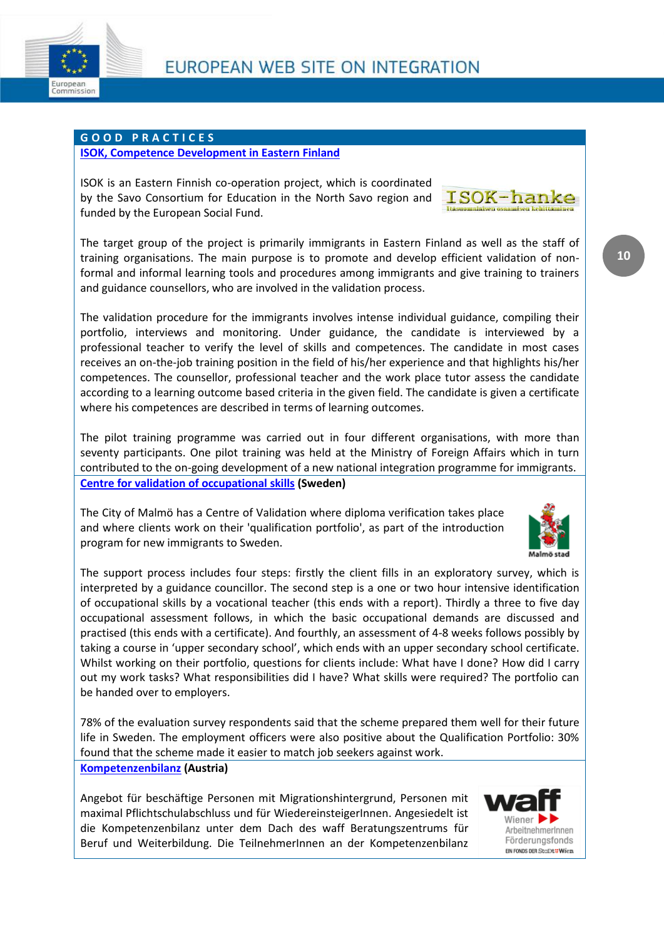

#### **G O O D P R A C T I C E S**

#### **[ISOK, Competence Development in Eastern Finland](http://ec.europa.eu/ewsi/en/practice/details.cfm?ID_ITEMS=32965)**

ISOK is an Eastern Finnish co-operation project, which is coordinated by the Savo Consortium for Education in the North Savo region and funded by the European Social Fund.



The target group of the project is primarily immigrants in Eastern Finland as well as the staff of training organisations. The main purpose is to promote and develop efficient validation of nonformal and informal learning tools and procedures among immigrants and give training to trainers and guidance counsellors, who are involved in the validation process.

The validation procedure for the immigrants involves intense individual guidance, compiling their portfolio, interviews and monitoring. Under guidance, the candidate is interviewed by a professional teacher to verify the level of skills and competences. The candidate in most cases receives an on-the-job training position in the field of his/her experience and that highlights his/her competences. The counsellor, professional teacher and the work place tutor assess the candidate according to a learning outcome based criteria in the given field. The candidate is given a certificate where his competences are described in terms of learning outcomes.

The pilot training programme was carried out in four different organisations, with more than seventy participants. One pilot training was held at the Ministry of Foreign Affairs which in turn contributed to the on-going development of a new national integration programme for immigrants. **[Centre for validation of occupational skills](http://ec.europa.eu/ewsi/en/practice/details.cfm?ID_ITEMS=1101) (Sweden)**

The City of Malmö has a Centre of Validation where diploma verification takes place and where clients work on their 'qualification portfolio', as part of the introduction program for new immigrants to Sweden.

The support process includes four steps: firstly the client fills in an exploratory survey, which is interpreted by a guidance councillor. The second step is a one or two hour intensive identification of occupational skills by a vocational teacher (this ends with a report). Thirdly a three to five day occupational assessment follows, in which the basic occupational demands are discussed and practised (this ends with a certificate). And fourthly, an assessment of 4-8 weeks follows possibly by taking a course in 'upper secondary school', which ends with an upper secondary school certificate. Whilst working on their portfolio, questions for clients include: What have I done? How did I carry out my work tasks? What responsibilities did I have? What skills were required? The portfolio can be handed over to employers.

78% of the evaluation survey respondents said that the scheme prepared them well for their future life in Sweden. The employment officers were also positive about the Qualification Portfolio: 30% found that the scheme made it easier to match job seekers against work.

#### **[Kompetenzenbilanz](http://ec.europa.eu/ewsi/en/practice/details.cfm?ID_ITEMS=17866) (Austria)**

Angebot für beschäftige Personen mit Migrationshintergrund, Personen mit maximal Pflichtschulabschluss und für WiedereinsteigerInnen. Angesiedelt ist die Kompetenzenbilanz unter dem Dach des waff Beratungszentrums für Beruf und Weiterbildung. Die TeilnehmerInnen an der Kompetenzenbilanz

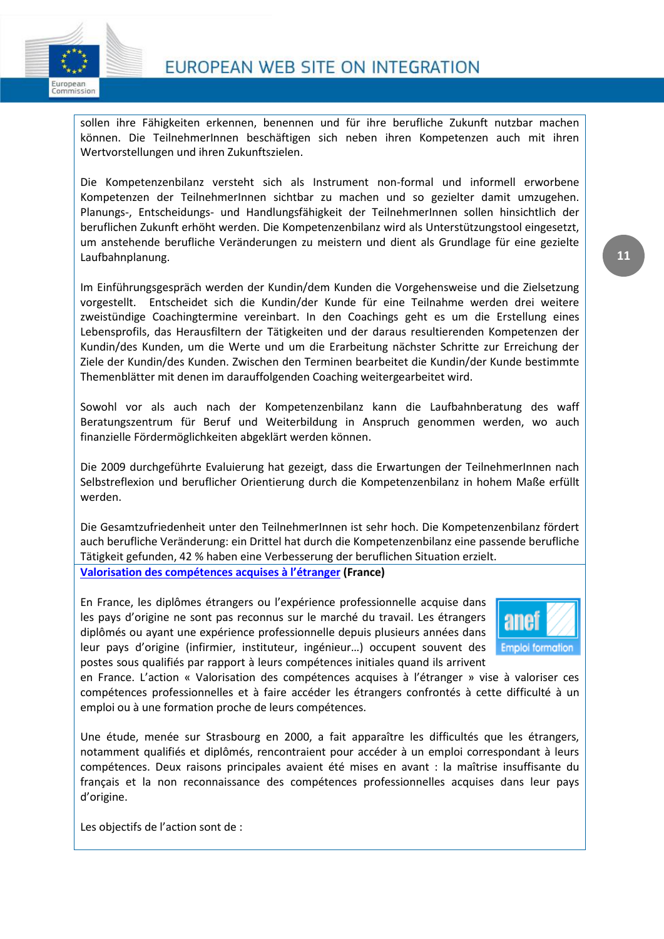

sollen ihre Fähigkeiten erkennen, benennen und für ihre berufliche Zukunft nutzbar machen können. Die TeilnehmerInnen beschäftigen sich neben ihren Kompetenzen auch mit ihren Wertvorstellungen und ihren Zukunftszielen.

Die Kompetenzenbilanz versteht sich als Instrument non-formal und informell erworbene Kompetenzen der TeilnehmerInnen sichtbar zu machen und so gezielter damit umzugehen. Planungs-, Entscheidungs- und Handlungsfähigkeit der TeilnehmerInnen sollen hinsichtlich der beruflichen Zukunft erhöht werden. Die Kompetenzenbilanz wird als Unterstützungstool eingesetzt, um anstehende berufliche Veränderungen zu meistern und dient als Grundlage für eine gezielte Laufbahnplanung.

Im Einführungsgespräch werden der Kundin/dem Kunden die Vorgehensweise und die Zielsetzung vorgestellt. Entscheidet sich die Kundin/der Kunde für eine Teilnahme werden drei weitere zweistündige Coachingtermine vereinbart. In den Coachings geht es um die Erstellung eines Lebensprofils, das Herausfiltern der Tätigkeiten und der daraus resultierenden Kompetenzen der Kundin/des Kunden, um die Werte und um die Erarbeitung nächster Schritte zur Erreichung der Ziele der Kundin/des Kunden. Zwischen den Terminen bearbeitet die Kundin/der Kunde bestimmte Themenblätter mit denen im darauffolgenden Coaching weitergearbeitet wird.

Sowohl vor als auch nach der Kompetenzenbilanz kann die Laufbahnberatung des waff Beratungszentrum für Beruf und Weiterbildung in Anspruch genommen werden, wo auch finanzielle Fördermöglichkeiten abgeklärt werden können.

Die 2009 durchgeführte Evaluierung hat gezeigt, dass die Erwartungen der TeilnehmerInnen nach Selbstreflexion und beruflicher Orientierung durch die Kompetenzenbilanz in hohem Maße erfüllt werden.

Die Gesamtzufriedenheit unter den TeilnehmerInnen ist sehr hoch. Die Kompetenzenbilanz fördert auch berufliche Veränderung: ein Drittel hat durch die Kompetenzenbilanz eine passende berufliche Tätigkeit gefunden, 42 % haben eine Verbesserung der beruflichen Situation erzielt. **[Valorisation des compétences acquises à l'étranger](http://ec.europa.eu/ewsi/en/practice/details.cfm?ID_ITEMS=16186) (France)**

En France, les diplômes étrangers ou l'expérience professionnelle acquise dans les pays d'origine ne sont pas reconnus sur le marché du travail. Les étrangers diplômés ou ayant une expérience professionnelle depuis plusieurs années dans leur pays d'origine (infirmier, instituteur, ingénieur…) occupent souvent des postes sous qualifiés par rapport à leurs compétences initiales quand ils arrivent



en France. L'action « Valorisation des compétences acquises à l'étranger » vise à valoriser ces compétences professionnelles et à faire accéder les étrangers confrontés à cette difficulté à un emploi ou à une formation proche de leurs compétences.

Une étude, menée sur Strasbourg en 2000, a fait apparaître les difficultés que les étrangers, notamment qualifiés et diplômés, rencontraient pour accéder à un emploi correspondant à leurs compétences. Deux raisons principales avaient été mises en avant : la maîtrise insuffisante du français et la non reconnaissance des compétences professionnelles acquises dans leur pays d'origine.

Les objectifs de l'action sont de :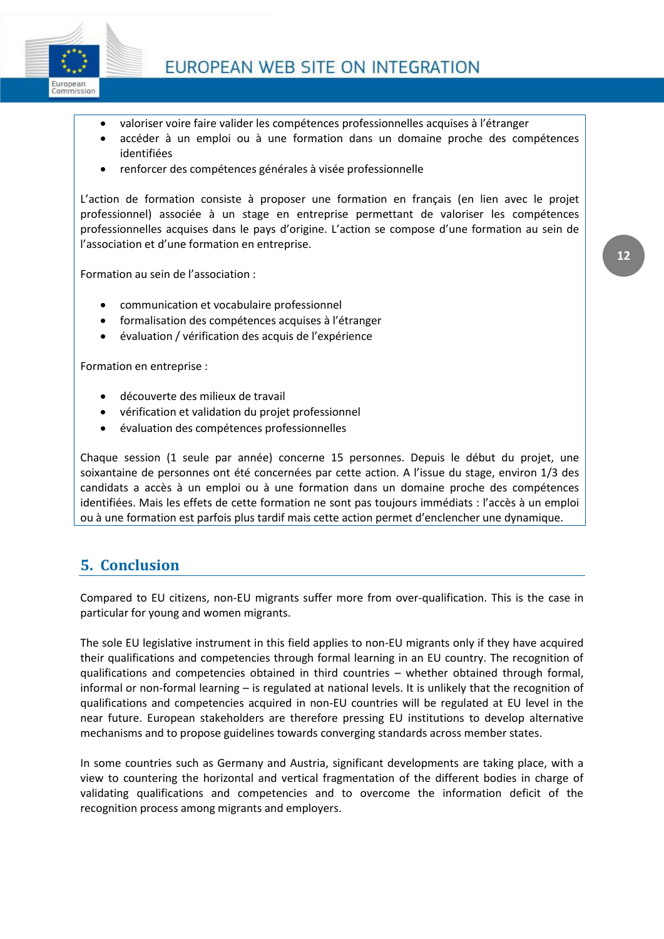

- valoriser voire faire valider les compétences professionnelles acquises à l'étranger
- accéder à un emploi ou à une formation dans un domaine proche des compétences identifiées
- renforcer des compétences générales à visée professionnelle

L'action de formation consiste à proposer une formation en français (en lien avec le projet professionnel) associée à un stage en entreprise permettant de valoriser les compétences professionnelles acquises dans le pays d'origine. L'action se compose d'une formation au sein de l'association et d'une formation en entreprise.

Formation au sein de l'association :

- communication et vocabulaire professionnel
- formalisation des compétences acquises à l'étranger
- évaluation / vérification des acquis de l'expérience

Formation en entreprise :

- découverte des milieux de travail
- vérification et validation du projet professionnel
- évaluation des compétences professionnelles

Chaque session (1 seule par année) concerne 15 personnes. Depuis le début du projet, une soixantaine de personnes ont été concernées par cette action. A l'issue du stage, environ 1/3 des candidats a accès à un emploi ou à une formation dans un domaine proche des compétences identifiées. Mais les effets de cette formation ne sont pas toujours immédiats : l'accès à un emploi ou à une formation est parfois plus tardif mais cette action permet d'enclencher une dynamique.

## **5. Conclusion**

Compared to EU citizens, non-EU migrants suffer more from over-qualification. This is the case in particular for young and women migrants.

The sole EU legislative instrument in this field applies to non-EU migrants only if they have acquired their qualifications and competencies through formal learning in an EU country. The recognition of qualifications and competencies obtained in third countries – whether obtained through formal, informal or non-formal learning – is regulated at national levels. It is unlikely that the recognition of qualifications and competencies acquired in non-EU countries will be regulated at EU level in the near future. European stakeholders are therefore pressing EU institutions to develop alternative mechanisms and to propose guidelines towards converging standards across member states.

In some countries such as Germany and Austria, significant developments are taking place, with a view to countering the horizontal and vertical fragmentation of the different bodies in charge of validating qualifications and competencies and to overcome the information deficit of the recognition process among migrants and employers.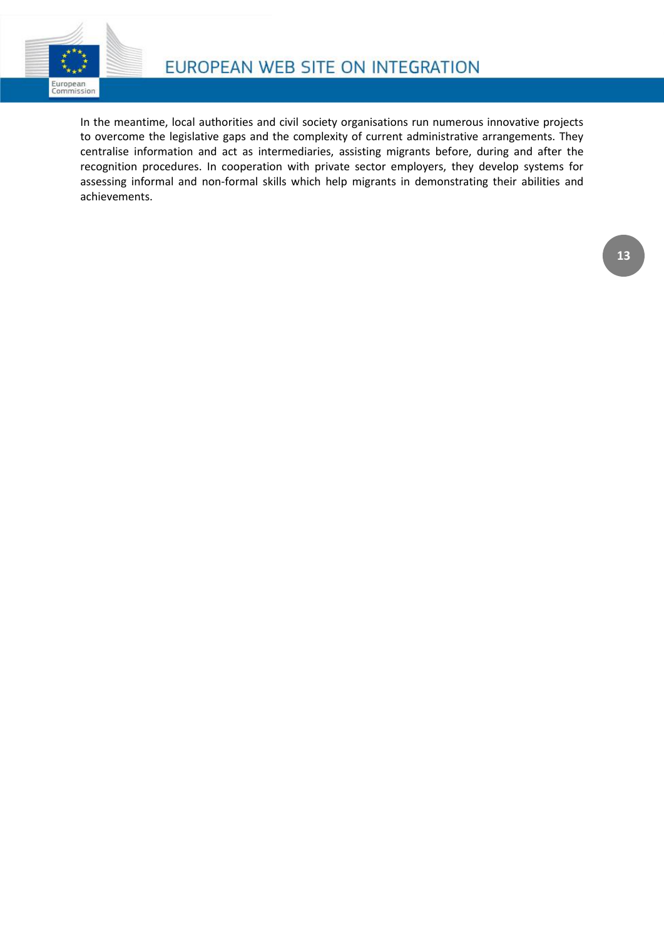

In the meantime, local authorities and civil society organisations run numerous innovative projects to overcome the legislative gaps and the complexity of current administrative arrangements. They centralise information and act as intermediaries, assisting migrants before, during and after the recognition procedures. In cooperation with private sector employers, they develop systems for assessing informal and non-formal skills which help migrants in demonstrating their abilities and achievements.